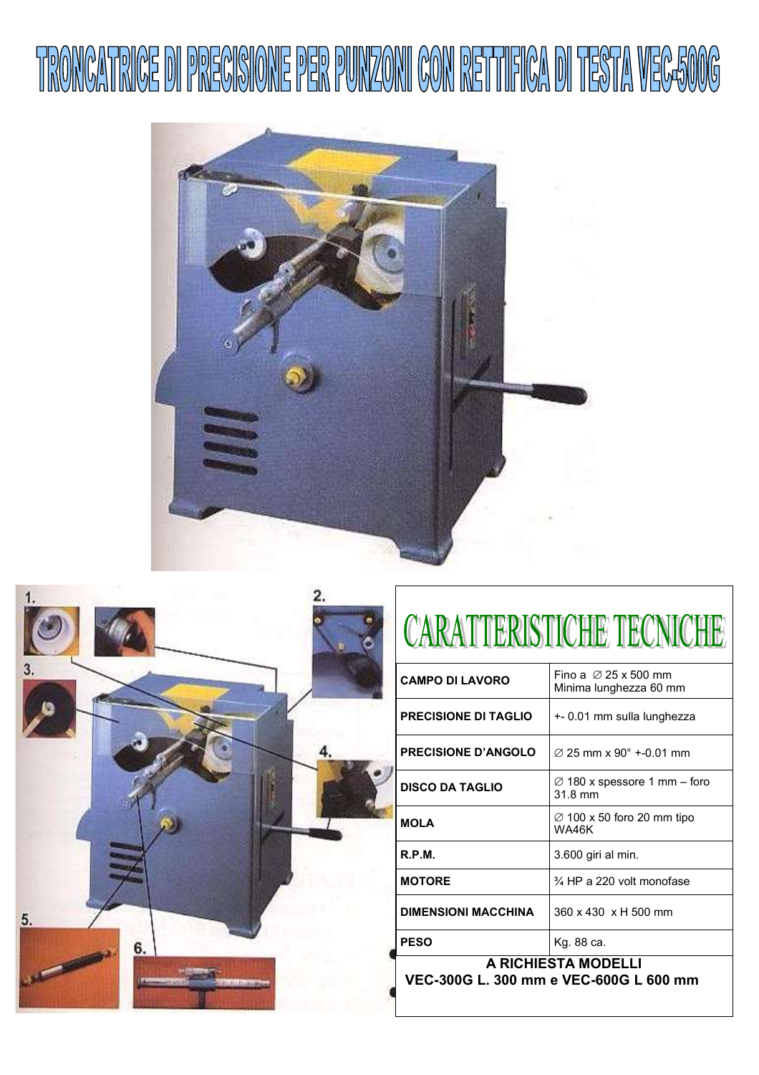





## CARATTERISTICHE TECNICHE

| <b>CAMPO DI LAVORO</b>                                                                                                                                                                                                                                                                                                                                                                                                                                                                          | Fino a $\varnothing$ 25 x 500 mm<br>Minima lunghezza 60 mm |
|-------------------------------------------------------------------------------------------------------------------------------------------------------------------------------------------------------------------------------------------------------------------------------------------------------------------------------------------------------------------------------------------------------------------------------------------------------------------------------------------------|------------------------------------------------------------|
| <b>PRECISIONE DI TAGLIO</b>                                                                                                                                                                                                                                                                                                                                                                                                                                                                     | +- 0.01 mm sulla lunghezza                                 |
| <b>PRECISIONE D'ANGOLO</b>                                                                                                                                                                                                                                                                                                                                                                                                                                                                      | $\varnothing$ 25 mm x 90 $^{\circ}$ +-0.01 mm              |
| <b>DISCO DA TAGLIO</b>                                                                                                                                                                                                                                                                                                                                                                                                                                                                          | $\varnothing$ 180 x spessore 1 mm – foro<br>31.8 mm        |
| <b>MOLA</b>                                                                                                                                                                                                                                                                                                                                                                                                                                                                                     | $\varnothing$ 100 x 50 foro 20 mm tipo<br>WA46K            |
| R.P.M.                                                                                                                                                                                                                                                                                                                                                                                                                                                                                          | 3.600 giri al min.                                         |
| <b>MOTORE</b>                                                                                                                                                                                                                                                                                                                                                                                                                                                                                   | $\frac{3}{4}$ HP a 220 volt monofase                       |
| <b>DIMENSIONI MACCHINA</b>                                                                                                                                                                                                                                                                                                                                                                                                                                                                      | 360 x 430 x H 500 mm                                       |
| <b>PESO</b>                                                                                                                                                                                                                                                                                                                                                                                                                                                                                     | Kg. 88 ca.                                                 |
| A RICHIESTA MODELLI<br><u>いこへ</u><br>sssr i<br>$200 - 220$<br>$\overline{11}$ $\overline{1}$ $\overline{1}$ $\overline{1}$ $\overline{1}$ $\overline{1}$ $\overline{1}$ $\overline{1}$ $\overline{1}$ $\overline{1}$ $\overline{1}$ $\overline{1}$ $\overline{1}$ $\overline{1}$ $\overline{1}$ $\overline{1}$ $\overline{1}$ $\overline{1}$ $\overline{1}$ $\overline{1}$ $\overline{1}$ $\overline{1}$ $\overline{1}$ $\overline{1}$ $\overline{1}$ $\overline{1}$ $\overline{1}$ $\overline$ |                                                            |